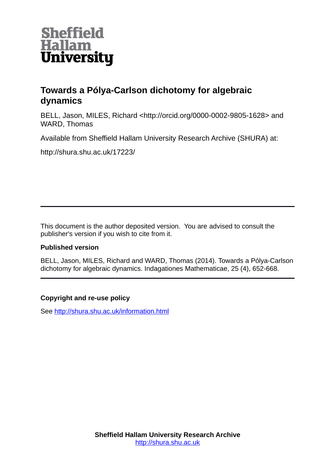

# **Towards a Pólya-Carlson dichotomy for algebraic dynamics**

BELL, Jason, MILES, Richard <http://orcid.org/0000-0002-9805-1628> and WARD, Thomas

Available from Sheffield Hallam University Research Archive (SHURA) at:

http://shura.shu.ac.uk/17223/

This document is the author deposited version. You are advised to consult the publisher's version if you wish to cite from it.

# **Published version**

BELL, Jason, MILES, Richard and WARD, Thomas (2014). Towards a Pólya-Carlson dichotomy for algebraic dynamics. Indagationes Mathematicae, 25 (4), 652-668.

# **Copyright and re-use policy**

See<http://shura.shu.ac.uk/information.html>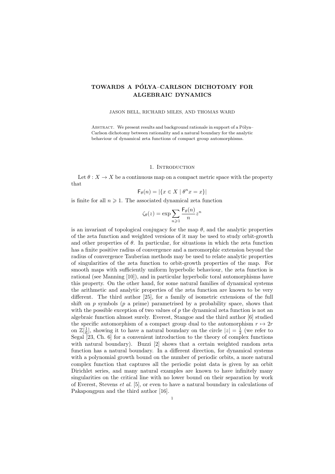### TOWARDS A PÓLYA-CARLSON DICHOTOMY FOR ALGEBRAIC DYNAMICS

#### JASON BELL, RICHARD MILES, AND THOMAS WARD

ABSTRACT. We present results and background rationale in support of a Pólya– Carlson dichotomy between rationality and a natural boundary for the analytic behaviour of dynamical zeta functions of compact group automorphisms.

#### 1. INTRODUCTION

Let  $\theta: X \to X$  be a continuous map on a compact metric space with the property that

$$
\mathsf{F}_{\theta}(n) = |\{x \in X \mid \theta^n x = x\}|
$$

is finite for all  $n \geq 1$ . The associated dynamical zeta function

$$
\zeta_{\theta}(z) = \exp \sum_{n \geq 1} \frac{\mathsf{F}_{\theta}(n)}{n} z^n
$$

is an invariant of topological conjugacy for the map  $\theta$ , and the analytic properties of the zeta function and weighted versions of it may be used to study orbit-growth and other properties of  $\theta$ . In particular, for situations in which the zeta function has a finite positive radius of convergence and a meromorphic extension beyond the radius of convergence Tauberian methods may be used to relate analytic properties of singularities of the zeta function to orbit-growth properties of the map. For smooth maps with sufficiently uniform hyperbolic behaviour, the zeta function is rational (see Manning [10]), and in particular hyperbolic toral automorphisms have this property. On the other hand, for some natural families of dynamical systems the arithmetic and analytic properties of the zeta function are known to be very different. The third author [25], for a family of isometric extensions of the full shift on  $p$  symbols ( $p$  a prime) parametrised by a probability space, shows that with the possible exception of two values of  $p$  the dynamical zeta function is not an algebraic function almost surely. Everest, Stangoe and the third author [6] studied the specific automorphism of a compact group dual to the automorphism  $r \mapsto 2r$ on  $\mathbb{Z}[\frac{1}{6}]$ , showing it to have a natural boundary on the circle  $|z| = \frac{1}{2}$  (we refer to Segal [23, Ch. 6] for a convenient introduction to the theory of complex functions with natural boundary). Buzzi [2] shows that a certain weighted random zeta function has a natural boundary. In a different direction, for dynamical systems with a polynomial growth bound on the number of periodic orbits, a more natural complex function that captures all the periodic point data is given by an orbit Dirichlet series, and many natural examples are known to have infinitely many singularities on the critical line with no lower bound on their separation by work of Everest, Stevens et al. [5], or even to have a natural boundary in calculations of Pakapongpun and the third author [16].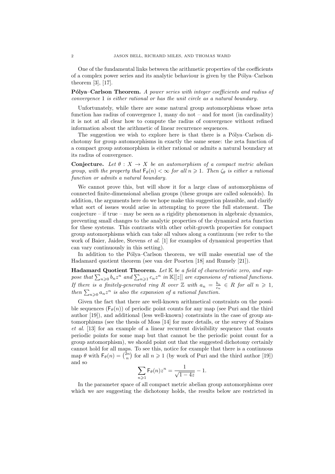One of the fundamental links between the arithmetic properties of the coefficients of a complex power series and its analytic behaviour is given by the Pólya–Carlson theorem [3], [17].

Pólya–Carlson Theorem. A power series with integer coefficients and radius of convergence 1 is either rational or has the unit circle as a natural boundary.

Unfortunately, while there are some natural group automorphisms whose zeta function has radius of convergence 1, many do not – and for most (in cardinality) it is not at all clear how to compute the radius of convergence without refined information about the arithmetic of linear recurrence sequences.

The suggestion we wish to explore here is that there is a Pólya–Carlson dichotomy for group automorphisms in exactly the same sense: the zeta function of a compact group automorphism is either rational or admits a natural boundary at its radius of convergence.

Conjecture. Let  $\theta : X \to X$  be an automorphism of a compact metric abelian group, with the property that  $\mathsf{F}_{\theta}(n) < \infty$  for all  $n \geq 1$ . Then  $\zeta_{\theta}$  is either a rational function or admits a natural boundary.

We cannot prove this, but will show it for a large class of automorphisms of connected finite-dimensional abelian groups (these groups are called solenoids). In addition, the arguments here do we hope make this suggestion plausible, and clarify what sort of issues would arise in attempting to prove the full statement. The conjecture – if true – may be seen as a rigidity phenomenon in algebraic dynamics, preventing small changes to the analytic properties of the dynamical zeta function for these systems. This contrasts with other orbit-growth properties for compact group automorphisms which can take all values along a continuum (we refer to the work of Baier, Jaidee, Stevens *et al.* [1] for examples of dynamical properties that can vary continuously in this setting).

In addition to the Pólya–Carlson theorem, we will make essential use of the Hadamard quotient theorem (see van der Poorten [18] and Rumely [21]).

Hadamard Quotient Theorem. Let  $K$  be a field of characteristic zero, and suppose that  $\sum_{n\geqslant 0}b_nz^n$  and  $\sum_{n\geqslant 1}c_nz^n$  in  $\mathbb{K}[[z]]$  are expansions of rational functions. If there is a finitely-generated ring R over  $\mathbb Z$  with  $a_n = \frac{b_n}{c_n} \in R$  for all  $n \geq 1$ , then  $\sum_{n\geqslant 0} a_n z^n$  is also the expansion of a rational function.

Given the fact that there are well-known arithmetical constraints on the possible sequences  $(F_{\theta}(n))$  of periodic point counts for any map (see Puri and the third author [19]), and additional (less well-known) constraints in the case of group automorphisms (see the thesis of Moss [14] for more details, or the survey of Staines et al. [13] for an example of a linear recurrent divisibility sequence that counts periodic points for some map but that cannot be the periodic point count for a group automorphism), we should point out that the suggested dichotomy certainly cannot hold for all maps. To see this, notice for example that there is a continuous map  $\theta$  with  $\mathsf{F}_{\theta}(n) = \binom{2n}{n}$  for all  $n \geq 1$  (by work of Puri and the third author [19]) and so

$$
\sum_{n\geqslant 1} {\sf F}_\theta(n) z^n = \frac{1}{\sqrt{1-4z}} - 1.
$$

In the parameter space of all compact metric abelian group automorphisms over which we are suggesting the dichotomy holds, the results below are restricted in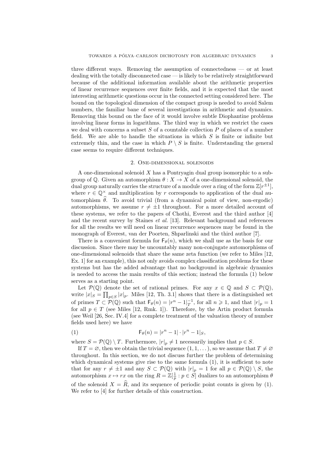three different ways. Removing the assumption of connectedness — or at least dealing with the totally disconnected case — is likely to be relatively straightforward because of the additional information available about the arithmetic properties of linear recurrence sequences over finite fields, and it is expected that the most interesting arithmetic questions occur in the connected setting considered here. The bound on the topological dimension of the compact group is needed to avoid Salem numbers, the familiar bane of several investigations in arithmetic and dynamics. Removing this bound on the face of it would involve subtle Diophantine problems involving linear forms in logarithms. The third way in which we restrict the cases we deal with concerns a subset  $S$  of a countable collection  $P$  of places of a number field. We are able to handle the situations in which  $S$  is finite or infinite but extremely thin, and the case in which  $P \setminus S$  is finite. Understanding the general case seems to require different techniques.

### 2. One-dimensional solenoids

A one-dimensional solenoid X has a Pontryagin dual group isomorphic to a subgroup of  $\mathbb{Q}$ . Given an automorphism  $\theta : X \to X$  of a one-dimensional solenoid, the dual group naturally carries the structure of a module over a ring of the form  $\mathbb{Z}[r^{\pm 1}]$ , where  $r \in \mathbb{Q}^{\times}$  and multiplication by r corresponds to application of the dual automorphism  $\hat{\theta}$ . To avoid trivial (from a dynamical point of view, non-ergodic) automorphisms, we assume  $r \neq \pm 1$  throughout. For a more detailed account of these systems, we refer to the papers of Chothi, Everest and the third author [4] and the recent survey by Staines et al. [13]. Relevant background and references for all the results we will need on linear recurrence sequences may be found in the monograph of Everest, van der Poorten, Shparlinski and the third author [7].

There is a convenient formula for  $\mathsf{F}_{\theta}(n)$ , which we shall use as the basis for our discussion. Since there may be uncountably many non-conjugate automorphisms of one-dimensional solenoids that share the same zeta function (we refer to Miles [12, Ex. 1] for an example), this not only avoids complex classification problems for these systems but has the added advantage that no background in algebraic dynamics is needed to access the main results of this section; instead the formula (1) below serves as a starting point.

Let  $\mathcal{P}(\mathbb{Q})$  denote the set of rational primes. For any  $x \in \mathbb{Q}$  and  $S \subset \mathcal{P}(\mathbb{Q})$ , write  $|x|_S = \prod_{p \in S} |x|_p$ . Miles [12, Th. 3.1] shows that there is a distinguished set of primes  $T \subset \mathcal{P}(\mathbb{Q})$  such that  $\mathsf{F}_{\theta}(n) = |r^n - 1|_T^{-1}$ , for all  $n \geq 1$ , and that  $|r|_p = 1$ for all  $p \in T$  (see Miles [12, Rmk. 1]). Therefore, by the Artin product formula (see Weil [26, Sec. IV.4] for a complete treatment of the valuation theory of number fields used here) we have

$$
\mathsf{F}_{\theta}(n) = |r^n - 1| \cdot |r^n - 1|_S,
$$

where  $S = \mathcal{P}(\mathbb{Q}) \setminus T$ . Furthermore,  $|r|_p \neq 1$  necessarily implies that  $p \in S$ .

If  $T = \emptyset$ , then we obtain the trivial sequence  $(1, 1, \ldots)$ , so we assume that  $T \neq \emptyset$ throughout. In this section, we do not discuss further the problem of determining which dynamical systems give rise to the same formula  $(1)$ , it is sufficient to note that for any  $r \neq \pm 1$  and any  $S \subset \mathcal{P}(\mathbb{Q})$  with  $|r|_p = 1$  for all  $p \in \mathcal{P}(\mathbb{Q}) \setminus S$ , the automorphism  $x \mapsto rx$  on the ring  $R = \mathbb{Z}[\frac{1}{p} : p \in \hat{S}]$  dualizes to an automorphism  $\theta$ of the solenoid  $X = \widehat{R}$ , and its sequence of periodic point counts is given by (1). We refer to [4] for further details of this construction.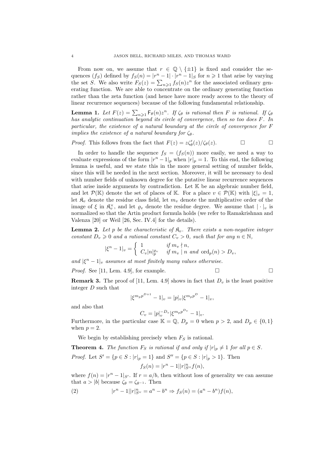From now on, we assume that  $r \in \mathbb{Q} \setminus \{\pm 1\}$  is fixed and consider the sequences  $(f_S)$  defined by  $f_S(n) = |r^n - 1| \cdot |r^n - 1|$  for  $n \ge 1$  that arise by varying the set S. We also write  $F_S(z) = \sum_{n \geq 1} f_S(n) z^n$  for the associated ordinary generating function. We are able to concentrate on the ordinary generating function rather than the zeta function (and hence have more ready access to the theory of linear recurrence sequences) because of the following fundamental relationship.

**Lemma 1.** Let  $F(z) = \sum_{n\geq 1} \mathsf{F}_{\theta}(n) z^n$ . If  $\zeta_{\theta}$  is rational then F is rational. If  $\zeta_{\theta}$ has analytic continuation beyond its circle of convergence, then so too does F. In particular, the existence of a natural boundary at the circle of convergence for F implies the existence of a natural boundary for  $\zeta_{\theta}$ .

*Proof.* This follows from the fact that  $F(z) = \frac{z\zeta_{\theta}'(z)}{\zeta_{\theta}(z)}$ .

In order to handle the sequence  $f_S = (f_S(n))$  more easily, we need a way to evaluate expressions of the form  $|r^n - 1|_p$  when  $|r|_p = 1$ . To this end, the following lemma is useful, and we state this in the more general setting of number fields, since this will be needed in the next section. Moreover, it will be necessary to deal with number fields of unknown degree for the putative linear recurrence sequences that arise inside arguments by contradiction. Let K be an algebraic number field, and let  $\mathcal{P}(\mathbb{K})$  denote the set of places of K. For a place  $v \in \mathcal{P}(\mathbb{K})$  with  $|\xi|_v = 1$ , let  $\mathfrak{K}_v$  denote the residue class field, let  $m_v$  denote the multiplicative order of the image of  $\xi$  in  $\mathfrak{K}_v^{\times}$ , and let  $\varrho_v$  denote the residue degree. We assume that  $|\cdot|_v$  is normalized so that the Artin product formula holds (we refer to Ramakrishnan and Valenza [20] or Weil [26, Sec. IV.4] for the details).

**Lemma 2.** Let p be the characteristic of  $\mathfrak{K}_v$ . There exists a non-negative integer constant  $D_v \geq 0$  and a rational constant  $C_v > 0$ , such that for any  $n \in \mathbb{N}$ ,

$$
|\xi^n - 1|_v = \begin{cases} 1 & \text{if } m_v \nmid n, \\ C_v |n|_p^{g_v} & \text{if } m_v \mid n \text{ and } \text{ord}_p(n) > D_v, \end{cases}
$$

and  $|\xi^n - 1|_v$  assumes at most finitely many values otherwise.

*Proof.* See [11, Lem. 4.9], for example.  $\square$ 

**Remark 3.** The proof of [11, Lem. 4.9] shows in fact that  $D_v$  is the least positive integer D such that

$$
|\xi^{m_p p^{D+1}} - 1|_v = |p|_v |\xi^{m_p p^D} - 1|_v,
$$

and also that

$$
C_v = |p|_v^{-D_v} |\xi^{m_p p^{D_v}} - 1|_v.
$$

Furthermore, in the particular case  $\mathbb{K} = \mathbb{Q}, D_p = 0$  when  $p > 2$ , and  $D_p \in \{0, 1\}$ when  $p = 2$ .

We begin by establishing precisely when  $F<sub>S</sub>$  is rational.

**Theorem 4.** The function  $F_S$  is rational if and only if  $|r|_p \neq 1$  for all  $p \in S$ .

*Proof.* Let  $S' = \{p \in S : |r|_p = 1\}$  and  $S'' = \{p \in S : |r|_p > 1\}$ . Then

$$
f_S(n) = |r^n - 1||r|_{S''}^n f(n),
$$

where  $f(n) = |r^n - 1|_{S'}$ . If  $r = a/b$ , then without loss of generality we can assume that  $a > |b|$  because  $\zeta_{\theta} = \zeta_{\theta^{-1}}$ . Then

(2) 
$$
|r^{n} - 1||r|_{S''}^{n} = a^{n} - b^{n} \Rightarrow f_{S}(n) = (a^{n} - b^{n})f(n),
$$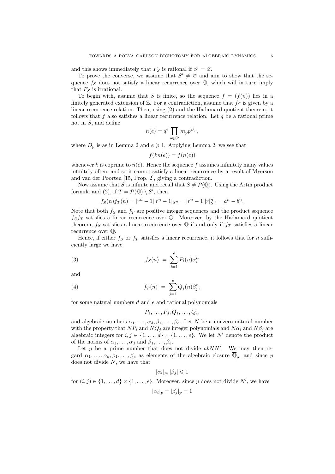and this shows immediately that  $F_S$  is rational if  $S' = \emptyset$ .

To prove the converse, we assume that  $S' \neq \emptyset$  and aim to show that the sequence  $f_S$  does not satisfy a linear recurrence over  $\mathbb{Q}$ , which will in turn imply that  $F<sub>S</sub>$  is irrational.

To begin with, assume that S is finite, so the sequence  $f = (f(n))$  lies in a finitely generated extension of  $\mathbb{Z}$ . For a contradiction, assume that  $f_S$  is given by a linear recurrence relation. Then, using (2) and the Hadamard quotient theorem, it follows that f also satisfies a linear recurrence relation. Let  $q$  be a rational prime not in S, and define

$$
n(e) = q^e \prod_{p \in S'} m_p p^{D_p},
$$

where  $D_p$  is as in Lemma 2 and  $e \geq 1$ . Applying Lemma 2, we see that

 $f(kn(e)) = f(n(e))$ 

whenever k is coprime to  $n(e)$ . Hence the sequence f assumes infinitely many values infinitely often, and so it cannot satisfy a linear recurrence by a result of Myerson and van der Poorten [15, Prop. 2], giving a contradiction.

Now assume that S is infinite and recall that  $S \neq \mathcal{P}(\mathbb{Q})$ . Using the Artin product formula and (2), if  $T = \mathcal{P}(\mathbb{Q}) \setminus S'$ , then

$$
f_S(n)f_T(n) = |r^n - 1||r^n - 1|_{S''} = |r^n - 1||r|_{S''}^n = a^n - b^n.
$$

Note that both  $f_S$  and  $f_T$  are positive integer sequences and the product sequence  $f_S f_T$  satisfies a linear recurrence over  $\mathbb Q$ . Moreover, by the Hadamard quotient theorem,  $f_S$  satisfies a linear recurrence over  $\mathbb Q$  if and only if  $f_T$  satisfies a linear recurrence over Q.

Hence, if either  $f_S$  or  $f_T$  satisfies a linear recurrence, it follows that for n sufficiently large we have

(3) 
$$
f_S(n) = \sum_{i=1}^d P_i(n) \alpha_i^n
$$

and

(4) 
$$
f_T(n) = \sum_{j=1}^e Q_j(n) \beta_j^n,
$$

for some natural numbers  $d$  and  $e$  and rational polynomials

$$
P_1,\ldots,P_d,Q_1,\ldots,Q_e,
$$

and algebraic numbers  $\alpha_1, \ldots, \alpha_d, \beta_1, \ldots, \beta_e$ . Let N be a nonzero natural number with the property that  $NP_i$  and  $NQ_j$  are integer polynomials and  $N\alpha_i$  and  $N\beta_j$  are algebraic integers for  $i, j \in \{1, \ldots, d\} \times \{1, \ldots, e\}$ . We let N' denote the product of the norms of  $\alpha_1, \ldots, \alpha_d$  and  $\beta_1, \ldots, \beta_e$ .

Let  $p$  be a prime number that does not divide  $abNN'$ . We may then regard  $\alpha_1, \ldots, \alpha_d, \beta_1, \ldots, \beta_e$  as elements of the algebraic closure  $\overline{\mathbb{Q}}_p$ , and since p does not divide N, we have that

$$
|\alpha_i|_p, |\beta_j| \leqslant 1
$$

for  $(i, j) \in \{1, \ldots, d\} \times \{1, \ldots, e\}$ . Moreover, since p does not divide N', we have

$$
|\alpha_i|_p = |\beta_j|_p = 1
$$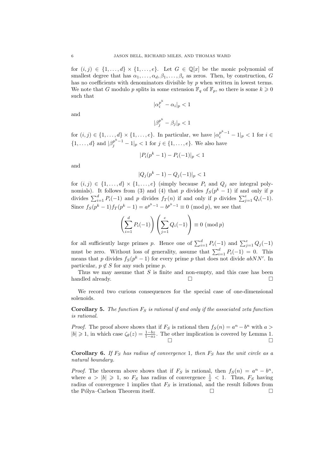for  $(i, j) \in \{1, \ldots, d\} \times \{1, \ldots, e\}$ . Let  $G \in \mathbb{Q}[x]$  be the monic polynomial of smallest degree that has  $\alpha_1, \ldots, \alpha_d, \beta_1, \ldots, \beta_e$  as zeros. Then, by construction, G has no coefficients with denominators divisible by  $p$  when written in lowest terms. We note that G modulo p splits in some extension  $\mathbb{F}_q$  of  $\mathbb{F}_p$ , so there is some  $k \geqslant 0$ such that

$$
|\alpha_i^{p^k} - \alpha_i|_p < 1
$$

and

$$
|\beta_j^{p^k}-\beta_j|_p<1
$$

for  $(i, j) \in \{1, \ldots, d\} \times \{1, \ldots, e\}$ . In particular, we have  $|\alpha_i^{p^k-1} - 1|_p < 1$  for  $i \in$  $\{1, ..., d\}$  and  $|\beta_j^{p^k-1} - 1|_p < 1$  for  $j \in \{1, ..., e\}$ . We also have

$$
|P_i(p^k - 1) - P_i(-1)|_p < 1
$$

and

$$
|Q_j(p^k - 1) - Q_j(-1)|_p < 1
$$

for  $(i, j) \in \{1, ..., d\} \times \{1, ..., e\}$  (simply because  $P_i$  and  $Q_j$  are integral polynomials). It follows from (3) and (4) that p divides  $f_S(p^k-1)$  if and only if p divides  $\sum_{i=1}^{d} P_i(-1)$  and p divides  $f_T(n)$  if and only if p divides  $\sum_{j=1}^{e} Q_i(-1)$ . Since  $f_S(p^k - 1) f_T(p^k - 1) = a^{p^k - 1} - b^{p^k - 1} \equiv 0 \pmod{p}$ , we see that

$$
\left(\sum_{i=1}^{d} P_i(-1)\right) \left(\sum_{j=1}^{e} Q_i(-1)\right) \equiv 0 \pmod{p}
$$

for all sufficiently large primes p. Hence one of  $\sum_{i=1}^{d} P_i(-1)$  and  $\sum_{j=1}^{e} Q_j(-1)$ must be zero. Without loss of generality, assume that  $\sum_{i=1}^{d} P_i(-1) = 0$ . This means that p divides  $f_S(p^k-1)$  for every prime p that does not divide  $abNN'$ . In particular,  $p \notin S$  for any such prime p.

Thus we may assume that  $S$  is finite and non-empty, and this case has been handled already.  $\Box$ 

We record two curious consequences for the special case of one-dimensional solenoids.

**Corollary 5.** The function  $F_S$  is rational if and only if the associated zeta function is rational.

*Proof.* The proof above shows that if  $F_S$  is rational then  $f_S(n) = a^n - b^n$  with  $a >$  $|b| \geq 1$ , in which case  $\zeta_{\theta}(z) = \frac{1-bz}{1-az}$ . The other implication is covered by Lemma 1.  $\Box$ 

**Corollary 6.** If  $F_S$  has radius of convergence 1, then  $F_S$  has the unit circle as a natural boundary.

*Proof.* The theorem above shows that if  $F_S$  is rational, then  $f_S(n) = a^n - b^n$ , where  $a > |b| \geq 1$ , so  $F_S$  has radius of convergence  $\frac{1}{a} < 1$ . Thus,  $F_S$  having radius of convergence 1 implies that  $F<sub>S</sub>$  is irrational, and the result follows from the Pólya–Carlson Theorem itself. □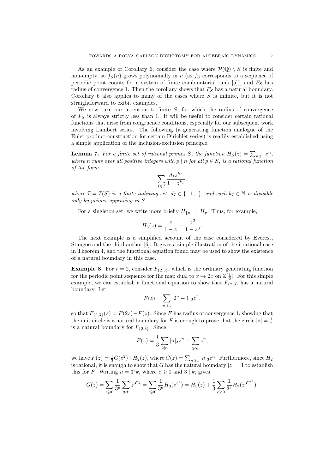As an example of Corollary 6, consider the case where  $\mathcal{P}(\mathbb{Q}) \setminus S$  is finite and non-empty, so  $f_S(n)$  grows polynomially in n (as  $f_S$  corresponds to a sequence of periodic point counts for a system of finite combinatorial rank  $[5]$ ), and  $F<sub>S</sub>$  has radius of convergence 1. Then the corollary shows that  $F<sub>S</sub>$  has a natural boundary. Corollary 6 also applies to many of the cases where S is infinite, but it is not straightforward to exibit examples.

We now turn our attention to finite  $S$ , for which the radius of convergence of  $F<sub>S</sub>$  is always strictly less than 1. It will be useful to consider certain rational functions that arise from congruence conditions, especially for our subsequent work involving Lambert series. The following (a generating function analogue of the Euler product construction for certain Dirichlet series) is readily established using a simple application of the inclusion-exclusion principle.

**Lemma 7.** For a finite set of rational primes S, the function  $H_S(z) = \sum_{n \geq 1} z^n$ , where n runs over all positive integers with  $p \nmid n$  for all  $p \in S$ , is a rational function of the form

$$
\sum_{I\in\mathcal{I}}\frac{d_Iz^{k_I}}{1-z^{k_I}},
$$

where  $\mathcal{I} = \mathcal{I}(S)$  is a finite indexing set,  $d_I \in \{-1,1\}$ , and each  $k_I \in \mathbb{N}$  is divisible only by primes appearing in S.

For a singleton set, we write more briefly  $H_{\{p\}} = H_p$ . Thus, for example,

$$
H_3(z) = \frac{z}{1-z} - \frac{z^3}{1-z^3}.
$$

The next example is a simplified account of the case considered by Everest, Stangoe and the third author [6]. It gives a simple illustration of the irrational case in Theorem 4, and the functional equation found may be used to show the existence of a natural boundary in this case.

**Example 8.** For  $r = 2$ , consider  $F_{\{2,3\}}$ , which is the ordinary generating function for the periodic point sequence for the map dual to  $x \mapsto 2x$  on  $\mathbb{Z}[\frac{1}{6}]$ . For this simple example, we can establish a functional equation to show that  $F_{(2,3)}$  has a natural boundary. Let

$$
F(z) = \sum_{n \geq 1} |2^n - 1|_3 z^n,
$$

so that  $F_{\{2,3\}}(z) = F(2z) - F(z)$ . Since F has radius of convergence 1, showing that the unit circle is a natural boundary for F is enough to prove that the circle  $|z| = \frac{1}{2}$ is a natural boundary for  $F_{\{2,3\}}$ . Since

$$
F(z) = \frac{1}{3} \sum_{2|n} |n|_3 z^n + \sum_{2\nmid n} z^n,
$$

we have  $F(z) = \frac{1}{3}G(z^2) + H_2(z)$ , where  $G(z) = \sum_{n \geq 1} |n|_3 z^n$ . Furthermore, since  $H_2$ is rational, it is enough to show that G has the natural boundary  $|z|=1$  to establish this for F. Writing  $n = 3e$ , where  $e \ge 0$  and  $3 \nmid k$ , gives

$$
G(z) = \sum_{e \ge 0} \frac{1}{3^e} \sum_{3 \nmid k} z^{3^e k} = \sum_{e \ge 0} \frac{1}{3^e} H_3(z^{3^e}) = H_3(z) + \frac{1}{3} \sum_{e \ge 0} \frac{1}{3^e} H_3(z^{3^{e+1}}).
$$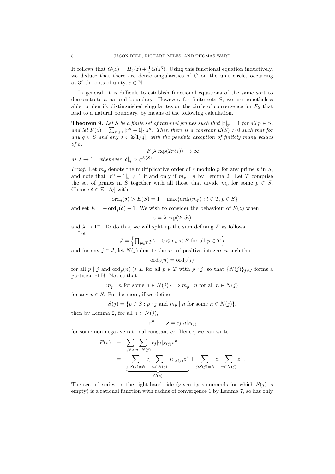It follows that  $G(z) = H_3(z) + \frac{1}{3}G(z^3)$ . Using this functional equation inductively, we deduce that there are dense singularities of  $G$  on the unit circle, occurring at  $3^e$ -th roots of unity,  $e \in \mathbb{N}$ .

In general, it is difficult to establish functional equations of the same sort to demonstrate a natural boundary. However, for finite sets  $S$ , we are nonetheless able to identify distinguished singularites on the circle of convergence for  $F_S$  that lead to a natural boundary, by means of the following calculation.

**Theorem 9.** Let S be a finite set of rational primes such that  $|r|_p = 1$  for all  $p \in S$ , and let  $F(z) = \sum_{n\geq 1} |r^n - 1|_{S} z^n$ . Then there is a constant  $E(S) > 0$  such that for any  $q \in S$  and any  $\delta \in \mathbb{Z}[1/q]$ , with the possible exception of finitely many values of  $\delta$ ,

$$
|F(\lambda \exp(2\pi\delta i))| \to \infty
$$

as  $\lambda \to 1^-$  whenever  $|\delta|_q > q^{E(S)}$ .

*Proof.* Let  $m_p$  denote the multiplicative order of r modulo p for any prime p in S, and note that  $|r^n - 1|_p \neq 1$  if and only if  $m_p | n$  by Lemma 2. Let T comprise the set of primes in S together with all those that divide  $m_p$  for some  $p \in S$ . Choose  $\delta \in \mathbb{Z}[1/q]$  with

$$
-\operatorname{ord}_q(\delta) > E(S) = 1 + \max\{\operatorname{ord}_t(m_p) : t \in T, p \in S\}
$$

and set  $E = -\text{ord}_q(\delta) - 1$ . We wish to consider the behaviour of  $F(z)$  when

$$
z = \lambda \exp(2\pi \delta i)
$$

and  $\lambda \to 1^-$ . To do this, we will split up the sum defining F as follows. Let

$$
J = \left\{ \prod_{p \in T} p^{e_p} : 0 \leqslant e_p < E \text{ for all } p \in T \right\}
$$

and for any  $j \in J$ , let  $N(j)$  denote the set of positive integers n such that

$$
\mathrm{ord}_p(n)=\mathrm{ord}_p(j)
$$

for all  $p | j$  and  $\text{ord}_p(n) \geqslant E$  for all  $p \in T$  with  $p \nmid j$ , so that  $\{N(j)\}_{j \in J}$  forms a partition of N. Notice that

 $m_p | n$  for some  $n \in N(j) \Longleftrightarrow m_p | n$  for all  $n \in N(j)$ 

for any  $p \in S$ . Furthermore, if we define

$$
S(j) = \{ p \in S : p \nmid j \text{ and } m_p \mid n \text{ for some } n \in N(j) \},
$$

then by Lemma 2, for all  $n \in N(j)$ ,

$$
|r^n - 1|_S = c_j |n|_{S(j)}
$$

for some non-negative rational constant  $c_i$ . Hence, we can write

$$
F(z) = \sum_{j \in J} \sum_{n \in N(j)} c_j |n|_{S(j)} z^n
$$
  
= 
$$
\sum_{\substack{j: S(j) \neq \varnothing}} c_j \sum_{n \in N(j)} |n|_{S(j)} z^n + \sum_{j: S(j) = \varnothing} c_j \sum_{n \in N(j)} z^n.
$$

The second series on the right-hand side (given by summands for which  $S(j)$  is empty) is a rational function with radius of convergence 1 by Lemma 7, so has only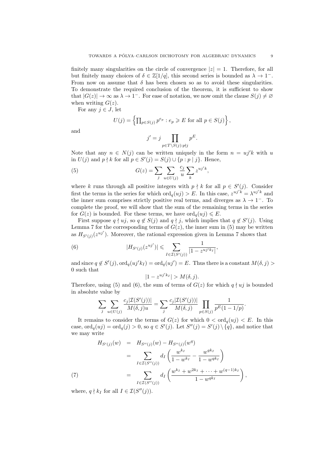finitely many singularities on the circle of convergence  $|z| = 1$ . Therefore, for all but finitely many choices of  $\delta \in \mathbb{Z}[1/q]$ , this second series is bounded as  $\lambda \to 1^-$ . From now on assume that  $\delta$  has been chosen so as to avoid these singularities. To demonstrate the required conclusion of the theorem, it is sufficient to show that  $|G(z)| \to \infty$  as  $\lambda \to 1^-$ . For ease of notation, we now omit the clause  $S(j) \neq \emptyset$ when writing  $G(z)$ .

For any  $j \in J$ , let

$$
U(j) = \left\{ \prod_{p \in S(j)} p^{e_p} : e_p \geqslant E \text{ for all } p \in S(j) \right\},\
$$

and

$$
j' = j \prod_{p \in T \backslash S(j): p \nmid j} p^E.
$$

Note that any  $n \in N(i)$  can be written uniquely in the form  $n = u^i/k$  with u in  $U(j)$  and  $p \nmid k$  for all  $p \in S'(j) = S(j) \cup \{p : p \mid j\}$ . Hence,

(5) 
$$
G(z) = \sum_{j} \sum_{u \in U(j)} \frac{c_j}{u} \sum_{k} z^{u_j' k},
$$

where k runs through all positive integers with  $p \nmid k$  for all  $p \in S'(j)$ . Consider first the terms in the series for which  $\text{ord}_q(uj) > E$ . In this case,  $z^{uj'k} = \lambda^{uj'k}$  and the inner sum comprises strictly positive real terms, and diverges as  $\lambda \to 1^-$ . To complete the proof, we will show that the sum of the remaining terms in the series for  $G(z)$  is bounded. For these terms, we have  $\text{ord}_q(u_j) \leq E$ .

First suppose  $q \nmid u_j$ , so  $q \notin S(j)$  and  $q \nmid j$ , which implies that  $q \notin S'(j)$ . Using Lemma 7 for the corresponding terms of  $G(z)$ , the inner sum in (5) may be written as  $H_{S'(j)}(z^{uj'})$ . Moreover, the rational expression given in Lemma 7 shows that

(6) 
$$
|H_{S'(j)}(z^{uj'})| \leq \sum_{I \in \mathcal{I}(S'(j))} \frac{1}{|1 - z^{uj'k_I}|},
$$

and since  $q \notin S'(j)$ ,  $\text{ord}_q(uj'k_I) = \text{ord}_q(uj') = E$ . Thus there is a constant  $M(\delta, j) >$ 0 such that

$$
|1 - z^{uj'k_I}| > M(\delta, j).
$$

Therefore, using (5) and (6), the sum of terms of  $G(z)$  for which  $q \nmid uj$  is bounded in absolute value by

$$
\sum_{j} \sum_{u \in U(j)} \frac{c_j |\mathcal{I}(S'(j))|}{M(\delta, j)u} = \sum_{j} \frac{c_j |\mathcal{I}(S'(j))|}{M(\delta, j)} \prod_{p \in S(j)} \frac{1}{p^E (1 - 1/p)}.
$$

It remains to consider the terms of  $G(z)$  for which  $0 < \text{ord}_a(u_i) < E$ . In this case,  $\text{ord}_q(uj) = \text{ord}_q(j) > 0$ , so  $q \in S'(j)$ . Let  $S''(j) = S'(j) \setminus \{q\}$ , and notice that we may write

$$
H_{S'(j)}(w) = H_{S''(j)}(w) - H_{S''(j)}(w^{q})
$$
  
= 
$$
\sum_{I \in \mathcal{I}(S''(j))} d_{I} \left( \frac{w^{k_{I}}}{1 - w^{k_{I}}} - \frac{w^{qk_{I}}}{1 - w^{qk_{I}}} \right)
$$
  
= 
$$
\sum_{I \in \mathcal{I}(S''(j))} d_{I} \left( \frac{w^{k_{I}} + w^{2k_{I}} + \dots + w^{(q-1)k_{I}}}{1 - w^{qk_{I}}} \right),
$$

where,  $q \nmid k_I$  for all  $I \in \mathcal{I}(S''(j)).$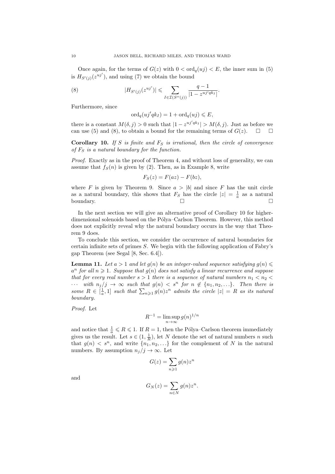Once again, for the terms of  $G(z)$  with  $0 < \text{ord}_q(uj) < E$ , the inner sum in (5) is  $H_{S'(j)}(z^{uj'}),$  and using (7) we obtain the bound

(8) 
$$
|H_{S'(j)}(z^{uj'})| \leq \sum_{I \in \mathcal{I}(S''(j))} \frac{q-1}{|1-z^{uj'qk_I}|}.
$$

Furthermore, since

$$
\operatorname{ord}_q(uj'qk_I) = 1 + \operatorname{ord}_q(uj) \leqslant E,
$$

there is a constant  $M(\delta, j) > 0$  such that  $|1 - z^{uj'qk_I}| > M(\delta, j)$ . Just as before we can use (5) and (8), to obtain a bound for the remaining terms of  $G(z)$ .  $\Box$ 

Corollary 10. If S is finite and  $F<sub>S</sub>$  is irrational, then the circle of convergence of  $F<sub>S</sub>$  is a natural boundary for the function.

Proof. Exactly as in the proof of Theorem 4, and without loss of generality, we can assume that  $f_S(n)$  is given by (2). Then, as in Example 8, write

$$
F_S(z) = F(az) - F(bz),
$$

where F is given by Theorem 9. Since  $a > |b|$  and since F has the unit circle as a natural boundary, this shows that  $F_S$  has the circle  $|z| = \frac{1}{a}$  as a natural boundary.  $\Box$ 

In the next section we will give an alternative proof of Corollary 10 for higherdimensional solenoids based on the Pólya–Carlson Theorem. However, this method does not explicitly reveal why the natural boundary occurs in the way that Theorem 9 does.

To conclude this section, we consider the occurrence of natural boundaries for certain infinite sets of primes S. We begin with the following application of Fabry's gap Theorem (see Segal [8, Sec. 6.4]).

**Lemma 11.** Let  $a > 1$  and let  $g(n)$  be an integer-valued sequence satisfying  $g(n) \leq$  $a^{n}$  for all  $n \geqslant 1$ . Suppose that  $g(n)$  does not satisfy a linear recurrence and suppose that for every real number  $s > 1$  there is a sequence of natural numbers  $n_1 < n_2 <$  $\cdots$  with  $n_j/j \to \infty$  such that  $g(n) < s^n$  for  $n \notin \{n_1, n_2, \ldots\}$ . Then there is some  $R \in [\frac{1}{a}, 1]$  such that  $\sum_{n \geq 1} g(n) z^n$  admits the circle  $|z| = R$  as its natural boundary.

Proof. Let

$$
R^{-1} = \limsup_{n \to \infty} g(n)^{1/n}
$$

and notice that  $\frac{1}{a} \leq R \leq 1$ . If  $R = 1$ , then the Pólya–Carlson theorem immediately gives us the result. Let  $s \in (1, \frac{1}{R})$ , let N denote the set of natural numbers n such that  $g(n) \leq s^n$ , and write  $\{n_1, n_2, ...\}$  for the complement of N in the natural numbers. By assumption  $n_j/j \to \infty$ . Let

$$
G(z) = \sum_{n \geq 1} g(n) z^n
$$

and

$$
G_N(z) = \sum_{n \in N} g(n) z^n.
$$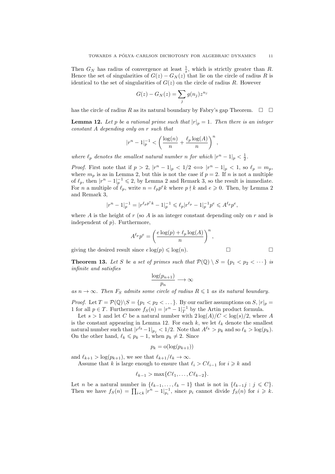Then  $G_N$  has radius of convergence at least  $\frac{1}{s}$ , which is strictly greater than R. Hence the set of singularities of  $G(z) - G<sub>N</sub>(z)$  that lie on the circle of radius R is identical to the set of singularities of  $G(z)$  on the circle of radius R. However

$$
G(z) - G_N(z) = \sum_j g(n_j) z^{n_j}
$$

has the circle of radius R as its natural boundary by Fabry's gap Theorem.  $\Box$   $\Box$ 

**Lemma 12.** Let p be a rational prime such that  $|r|_p = 1$ . Then there is an integer constant A depending only on r such that

$$
|r^n - 1|_p^{-1} < \left(\frac{\log(n)}{n} + \frac{\ell_p \log(A)}{n}\right)^n,
$$

where  $\ell_p$  denotes the smallest natural number n for which  $|r^n - 1|_p < \frac{1}{2}$ .

*Proof.* First note that if  $p > 2$ ,  $|r^n - 1|_p < 1/2 \iff |r^n - 1|_p < 1$ , so  $\ell_p = m_p$ , where  $m_p$  is as in Lemma 2, but this is not the case if  $p = 2$ . If n is not a multiple of  $\ell_p$ , then  $|r^n - 1|_p^{-1} \leq 2$ , by Lemma 2 and Remark 3, so the result is immediate. For *n* a multiple of  $\ell_p$ , write  $n = \ell_p p^e k$  where  $p \nmid k$  and  $e \geq 0$ . Then, by Lemma 2 and Remark 3,

$$
|r^n - 1|_p^{-1} = |r^{\ell_p p^{e_k}} - 1|_p^{-1} \leq \ell_p |r^{\ell_p} - 1|_p^{-1} p^e \leq A^{\ell_p} p^e,
$$

where A is the height of r (so A is an integer constant depending only on r and is independent of  $p$ ). Furthermore,

$$
A^{\ell_p} p^e = \left(\frac{e \log(p) + \ell_p \log(A)}{n}\right)^n,
$$

giving the desired result since  $e \log(p) \leq \log(n)$ .

**Theorem 13.** Let S be a set of primes such that  $\mathcal{P}(\mathbb{Q}) \setminus S = \{p_1 < p_2 < \cdots\}$  is infinite and satisfies

$$
\frac{\log(p_{n+1})}{p_n} \longrightarrow \infty
$$

as  $n \to \infty$ . Then  $F_S$  admits some circle of radius  $R \leq 1$  as its natural boundary.

*Proof.* Let  $T = \mathcal{P}(\mathbb{Q}) \setminus S = \{p_1 < p_2 < \dots\}$ . By our earlier assumptions on  $S, |r|_p =$ 1 for all  $p \in T$ . Furthermore  $f_S(n) = |r^n - 1|_T^{-1}$  by the Artin product formula.

Let  $s > 1$  and let C be a natural number with  $2 \log(A)/C < \log(s)/2$ , where A is the constant appearing in Lemma 12. For each  $k$ , we let  $\ell_k$  denote the smallest natural number such that  $|r^{\ell_k} - 1|_{p_j} < 1/2$ . Note that  $A^{\ell_k} > p_k$  and so  $\ell_k > \log(p_k)$ . On the other hand,  $\ell_k \leq p_k - 1$ , when  $p_k \neq 2$ . Since

$$
p_k = o(\log(p_{k+1}))
$$

and  $\ell_{k+1} > \log(p_{k+1})$ , we see that  $\ell_{k+1}/\ell_k \to \infty$ .

Assume that k is large enough to ensure that  $\ell_i > C\ell_{i-1}$  for  $i \geq k$  and

$$
\ell_{k-1} > \max\{C\ell_1,\ldots,C\ell_{k-2}\}.
$$

Let *n* be a natural number in  $\{\ell_{k-1}, \ldots, \ell_k - 1\}$  that is not in  $\{\ell_{k-1}j : j \leq C\}$ . Then we have  $f_S(n) = \prod_{i \lt k} |r^n - 1|_{p_i}^{-1}$ , since  $p_i$  cannot divide  $f_S(n)$  for  $i \geq k$ .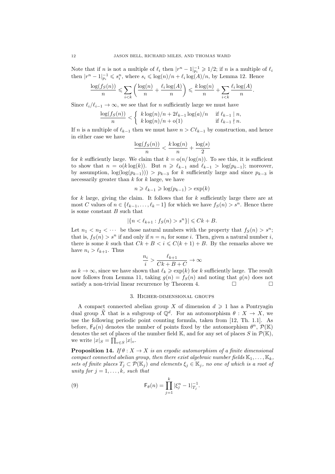Note that if *n* is not a multiple of  $\ell_i$  then  $|r^n - 1|_{p_i}^{-1} \geq 1/2$ ; if *n* is a multiple of  $\ell_i$ then  $|r^n - 1|_{p_i}^{n} \leqslant s_i^n$ , where  $s_i \leqslant \log(n)/n + \ell_i \log(A)/n$ , by Lemma 12. Hence

$$
\frac{\log(f_S(n))}{n} \leqslant \sum_{i < k} \left( \frac{\log(n)}{n} + \frac{\ell_i \log(A)}{n} \right) \leqslant \frac{k \log(n)}{n} + \sum_{i < k} \frac{\ell_i \log(A)}{n}.
$$

Since  $\ell_i/\ell_{i-1} \to \infty$ , we see that for *n* sufficiently large we must have

$$
\frac{\log(f_S(n))}{n} < \begin{cases} k \log(n)/n + 2\ell_{k-1} \log(a)/n & \text{if } \ell_{k-1} \mid n, \\ k \log(n)/n + o(1) & \text{if } \ell_{k-1} \nmid n. \end{cases}
$$

If n is a multiple of  $\ell_{k-1}$  then we must have  $n > C\ell_{k-1}$  by construction, and hence in either case we have

$$
\frac{\log(f_S(n))}{n} < \frac{k \log(n)}{n} + \frac{\log(s)}{2}
$$

for k sufficiently large. We claim that  $k = o(n/\log(n))$ . To see this, it is sufficient to show that  $n = o(k \log(k))$ . But  $n \geq \ell_{k-1}$  and  $\ell_{k-1} > \log(p_{k-1})$ ; moreover, by assumption,  $\log(\log(p_{k-1})) > p_{k-3}$  for k sufficiently large and since  $p_{k-3}$  is necessarily greater than  $k$  for  $k$  large, we have

$$
n \geqslant \ell_{k-1} \geqslant \log(p_{k-1}) > \exp(k)
$$

for  $k$  large, giving the claim. It follows that for  $k$  sufficiently large there are at most C values of  $n \in \{\ell_{k-1}, \ldots, \ell_k-1\}$  for which we have  $f_S(n) > s^n$ . Hence there is some constant  $B$  such that

$$
|\{n < \ell_{k+1} : f_S(n) > s^n\}| \leq Ck + B.
$$

Let  $n_1 < n_2 < \cdots$  be those natural numbers with the property that  $f_S(n) > s^n$ ; that is,  $f_S(n) > s^n$  if and only if  $n = n_i$  for some i. Then, given a natural number i, there is some k such that  $Ck + B < i \le C(k + 1) + B$ . By the remarks above we have  $n_i > \ell_{k+1}$ . Thus

$$
\frac{n_i}{i} > \frac{\ell_{k+1}}{Ck+B+C} \to \infty
$$

as  $k \to \infty$ , since we have shown that  $\ell_k \geq \exp(k)$  for k sufficiently large. The result now follows from Lemma 11, taking  $g(n) = f<sub>S</sub>(n)$  and noting that  $g(n)$  does not satisfy a non-trivial linear recurrence by Theorem 4.  $\Box$ 

### 3. Higher-dimensional groups

A compact connected abelian group X of dimension  $d \geq 1$  has a Pontryagin dual group  $\widehat{X}$  that is a subgroup of  $\mathbb{Q}^d$ . For an automorphism  $\theta : X \to X$ , we use the following periodic point counting formula, taken from [12, Th. 1.1]. As before,  $F_{\theta}(n)$  denotes the number of points fixed by the automorphism  $\theta^{n}$ ,  $\mathcal{P}(\mathbb{K})$ denotes the set of places of the number field  $\mathbb{K}$ , and for any set of places S in  $\mathcal{P}(\mathbb{K})$ , we write  $|x|_S = \prod_{v \in S} |x|_v$ .

**Proposition 14.** If  $\theta: X \to X$  is an ergodic automorphism of a finite dimensional compact connected abelian group, then there exist algebraic number fields  $\mathbb{K}_1, \ldots, \mathbb{K}_k$ , sets of finite places  $T_j \subset \mathcal{P}(\mathbb{K}_j)$  and elements  $\xi_j \in \mathbb{K}_j$ , no one of which is a root of unity for  $j = 1, \ldots, k$ , such that

(9) 
$$
\mathsf{F}_{\theta}(n) = \prod_{j=1}^{k} |\xi_j^n - 1|_{T_j}^{-1}.
$$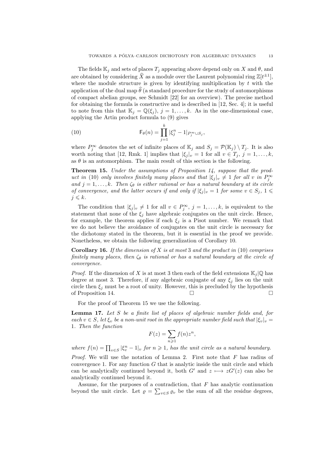The fields  $\mathbb{K}_j$  and sets of places  $T_j$  appearing above depend only on X and  $\theta$ , and are obtained by considering  $\widehat{X}$  as a module over the Laurent polynomial ring  $\mathbb{Z}[t^{\pm 1}]$ , where the module structure is given by identifying multiplication by  $t$  with the application of the dual map  $\hat{\theta}$  (a standard procedure for the study of automorphisms of compact abelian groups, see Schmidt [22] for an overview). The precise method for obtaining the formula is constructive and is described in [12, Sec. 4]; it is useful to note from this that  $\mathbb{K}_j = \mathbb{Q}(\xi_j)$ ,  $j = 1, \ldots, k$ . As in the one-dimensional case, applying the Artin product formula to (9) gives

(10) 
$$
\mathsf{F}_{\theta}(n) = \prod_{j=1}^{k} |\xi_j^n - 1|_{P_j^{\infty} \cup S_j},
$$

where  $P_j^{\infty}$  denotes the set of infinite places of  $\mathbb{K}_j$  and  $S_j = \mathcal{P}(\mathbb{K}_j) \setminus T_j$ . It is also worth noting that [12, Rmk. 1] implies that  $|\xi_j|_v = 1$  for all  $v \in T_j$ ,  $j = 1, ..., k$ , as  $\theta$  is an automorphism. The main result of this section is the following.

Theorem 15. Under the assumptions of Proposition 14, suppose that the product in (10) only involves finitely many places and that  $|\xi_j|_v \neq 1$  for all v in  $P_j^{\infty}$ and  $j = 1, \ldots, k$ . Then  $\zeta_{\theta}$  is either rational or has a natural boundary at its circle of convergence, and the latter occurs if and only if  $|\xi_j|_v = 1$  for some  $v \in S_j$ ,  $1 \leq$  $j \leqslant k$ .

The condition that  $|\xi_j|_v \neq 1$  for all  $v \in P_j^{\infty}$ ,  $j = 1, ..., k$ , is equivalent to the statement that none of the  $\xi_i$  have algebraic conjugates on the unit circle. Hence, for example, the theorem applies if each  $\xi_j$  is a Pisot number. We remark that we do not believe the avoidance of conjugates on the unit circle is necessary for the dichotomy stated in the theorem, but it is essential in the proof we provide. Nonetheless, we obtain the following generalization of Corollary 10.

**Corollary 16.** If the dimension of  $X$  is at most 3 and the product in (10) comprises finitely many places, then  $\zeta_{\theta}$  is rational or has a natural boundary at the circle of convergence.

*Proof.* If the dimension of X is at most 3 then each of the field extensions  $\mathbb{K}_i | \mathbb{Q}$  has degree at most 3. Therefore, if any algebraic conjugate of any  $\xi_i$  lies on the unit circle then  $\xi_j$  must be a root of unity. However, this is precluded by the hypothesis of Proposition 14.

For the proof of Theorem 15 we use the following.

Lemma 17. Let S be a finite list of places of algebraic number fields and, for each  $v \in S$ , let  $\xi_v$  be a non-unit root in the appropriate number field such that  $|\xi_v|_v =$ 1. Then the function

$$
F(z) = \sum_{n \geqslant 1} f(n) z^n,
$$

where  $f(n) = \prod_{v \in S} |\xi_v^n - 1|_v$  for  $n \ge 1$ , has the unit circle as a natural boundary.

*Proof.* We will use the notation of Lemma 2. First note that  $F$  has radius of convergence 1. For any function  $G$  that is analytic inside the unit circle and which can be analytically continued beyond it, both  $G'$  and  $z \mapsto zG'(z)$  can also be analytically continued beyond it.

Assume, for the purposes of a contradiction, that  $F$  has analytic continuation beyond the unit circle. Let  $\rho = \sum_{v \in S} \rho_v$  be the sum of all the residue degrees,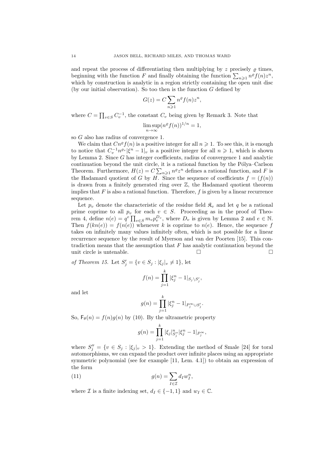and repeat the process of differentiating then multiplying by z precisely  $\rho$  times, beginning with the function F and finally obtaining the function  $\sum_{n\geqslant 1} n^{\varrho} f(n) z^n$ , which by construction is analytic in a region strictly containing the open unit disc (by our initial observation). So too then is the function  $G$  defined by

$$
G(z) = C \sum_{n \geqslant 1} n^{\varrho} f(n) z^n,
$$

where  $C = \prod_{v \in S} C_v^{-1}$ , the constant  $C_v$  being given by Remark 3. Note that

$$
\limsup_{n \to \infty} (n^{\varrho} f(n))^{1/n} = 1,
$$

so G also has radius of convergence 1.

We claim that  $Cn^{\varrho}f(n)$  is a positive integer for all  $n \geq 1$ . To see this, it is enough to notice that  $C_v^{-1} n^{\varrho_v} |\xi^n - 1|_v$  is a positive integer for all  $n \geq 1$ , which is shown by Lemma 2. Since G has integer coefficients, radius of convergence 1 and analytic continuation beyond the unit circle, it is a rational function by the Pólya–Carlson Theorem. Furthermore,  $H(z) = C \sum_{n \geq 1} n^{\varrho} z^n$  defines a rational function, and F is the Hadamard quotient of G by H. Since the sequence of coefficients  $f = (f(n))$ is drawn from a finitely generated ring over  $\mathbb{Z}$ , the Hadamard quotient theorem implies that  $F$  is also a rational function. Therefore,  $f$  is given by a linear recurrence sequence.

Let  $p_v$  denote the characteristic of the residue field  $\mathfrak{K}_v$  and let q be a rational prime coprime to all  $p_v$  for each  $v \in S$ . Proceeding as in the proof of Theorem 4, define  $n(e) = q^e \prod_{v \in S} m_v p_v^{D_v}$ , where  $D_v$  is given by Lemma 2 and  $e \in \mathbb{N}$ . Then  $f(kn(e)) = f(n(e))$  whenever k is coprime to  $n(e)$ . Hence, the sequence f takes on infinitely many values infinitely often, which is not possible for a linear recurrence sequence by the result of Myerson and van der Poorten [15]. This contradiction means that the assumption that  $F$  has analytic continuation beyond the unit circle is untenable.  $\Box$ 

of Theorem 15. Let  $S'_j = \{v \in S_j : |\xi_j|_v \neq 1\}$ , let

$$
f(n) = \prod_{j=1}^{k} |\xi_j^n - 1|_{S_j \setminus S'_j},
$$

and let

$$
g(n) = \prod_{j=1}^{k} |\xi_j^n - 1|_{P_j^\infty \cup S_j'}.
$$

So,  $F_{\theta}(n) = f(n)g(n)$  by (10). By the ultrametric property

$$
g(n) = \prod_{j=1}^{k} |\xi_j|_{S_j''}^n |\xi_j^n - 1|_{P_j^\infty},
$$

where  $S''_j = \{v \in S_j : |\xi_j|_v > 1\}$ . Extending the method of Smale [24] for toral automorphisms, we can expand the product over infinite places using an appropriate symmetric polynomial (see for example [11, Lem. 4.1]) to obtain an expression of the form

(11) 
$$
g(n) = \sum_{I \in \mathcal{I}} d_I w_I^n,
$$

where *I* is a finite indexing set,  $d_I \in \{-1, 1\}$  and  $w_I \in \mathbb{C}$ .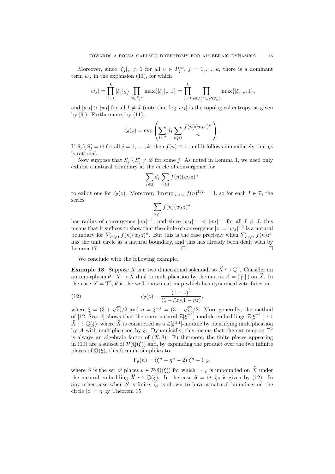Moreover, since  $|\xi_j|_v \neq 1$  for all  $v \in P_j^{\infty}$ ,  $j = 1, ..., k$ , there is a dominant term  $w_J$  in the expansion (11), for which

$$
|w_J| = \prod_{j=1}^k |\xi_j|_{S_j''} \prod_{v \in P_j^{\infty}} \max\{|\xi_j|_v, 1\} = \prod_{j=1}^k \prod_{v \in P_j^{\infty} \cup \mathcal{P}(\mathbb{K}_j)} \max\{|\xi_j|_v, 1\},\
$$

and  $|w_J| > |w_I|$  for all  $I \neq J$  (note that  $\log |w_J|$  is the topological entropy, as given by  $[9]$ . Furthermore, by  $(11)$ ,

$$
\zeta_{\theta}(z) = \exp\left(\sum_{I \in \mathcal{I}} d_I \sum_{n \geqslant 1} \frac{f(n)(w_I z)^n}{n}\right).
$$

If  $S_j \setminus S'_j = \emptyset$  for all  $j = 1, ..., k$ , then  $f(n) \equiv 1$ , and it follows immediately that  $\zeta_{\theta}$ is rational.

Now suppose that  $S_j \setminus S'_j \neq \emptyset$  for some j. As noted in Lemma 1, we need only exhibit a natural boundary at the circle of convergence for

$$
\sum_{I \in \mathcal{I}} d_I \sum_{n \geqslant 1} f(n) (w_I z)^n
$$

to exibit one for  $\zeta_{\theta}(z)$ . Moreover,  $\limsup_{n\to\infty} f(n)^{1/n} = 1$ , so for each  $I \in \mathcal{I}$ , the series

$$
\sum_{n\geqslant 1} f(n) (w_I z)^n
$$

has radius of convergence  $|w_I|^{-1}$ , and since  $|w_J|^{-1} < |w_I|^{-1}$  for all  $I \neq J$ , this means that it suffices to show that the circle of convergence  $|z| = |w_J|^{-1}$  is a natural boundary for  $\sum_{n\geqslant 1} f(n)(w_I z)^n$ . But this is the case precisely when  $\sum_{n\geqslant 1} f(n)z^n$ has the unit circle as a natural boundary, and this has already been dealt with by Lemma 17.  $\Box$ 

We conclude with the following example.

**Example 18.** Suppose X is a two dimensional solenoid, so  $\hat{X} \hookrightarrow \mathbb{Q}^2$ . Consider an automorphism  $\theta: X \to X$  dual to multiplication by the matrix  $A = \begin{pmatrix} 2 & 1 \\ 1 & 1 \end{pmatrix}$  on  $\hat{X}$ . In the case  $X = \mathbb{T}^2$ ,  $\theta$  is the well-known cat map which has dynamical zeta function

(12) 
$$
\zeta_{\theta}(z) = \frac{(1-z)^2}{(1-\xi z)(1-\eta z)},
$$

where  $\xi = (3 + \sqrt{5})/2$  and  $\eta = \xi^{-1} = (3 - \sqrt{5})/2$ 5)/2. More generally, the method of [12, Sec. 4] shows that there are natural  $\mathbb{Z}[\xi^{\pm 1}]$ -module embeddings  $\mathbb{Z}[\xi^{\pm 1}] \hookrightarrow$  $\hat{X} \hookrightarrow \mathbb{Q}(\xi)$ , where  $\hat{X}$  is considered as a  $\mathbb{Z}[\xi^{\pm 1}]$ -module by identifying multiplication by A with multiplication by  $\xi$ . Dynamically, this means that the cat map on  $\mathbb{T}^2$ is always an algebraic factor of  $(X, \theta)$ . Furthermore, the finite places appearing in (10) are a subset of  $\mathcal{P}(\mathbb{Q}(\xi))$  and, by expanding the product over the two infinite places of  $\mathbb{Q}(\xi)$ , this formula simplifies to

$$
\mathsf{F}_{\theta}(n) = (\xi^n + \eta^n - 2)|\xi^n - 1|_S,
$$

where S is the set of places  $v \in \mathcal{P}(\mathbb{Q}(\xi))$  for which  $|\cdot|_v$  is unbounded on  $\widehat{X}$  under the natural embedding  $\widehat{X} \hookrightarrow \mathbb{Q}(\xi)$ . In the case  $S = \emptyset$ ,  $\zeta_{\theta}$  is given by (12). In any other case when S is finite,  $\zeta_{\theta}$  is shown to have a natural boundary on the circle  $|z| = \eta$  by Theorem 15.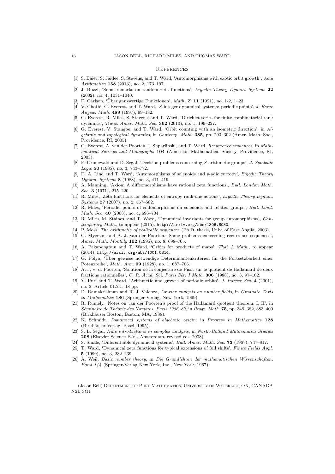#### **REFERENCES**

- [1] S. Baier, S. Jaidee, S. Stevens, and T. Ward, 'Automorphisms with exotic orbit growth', Acta Arithmetica 158 (2013), no. 2, 173–197.
- [2] J. Buzzi, 'Some remarks on random zeta functions', Ergodic Theory Dynam. Systems 22 (2002), no. 4, 1031–1040.
- [3] F. Carlson, 'Über ganzwertige Funktionen', *Math. Z.* 11 (1921), no. 1-2, 1-23.
- [4] V. Chothi, G. Everest, and T. Ward, 'S-integer dynamical systems: periodic points', J. Reine Angew. Math. 489 (1997), 99–132.
- [5] G. Everest, R. Miles, S. Stevens, and T. Ward, 'Dirichlet series for finite combinatorial rank dynamics', Trans. Amer. Math. Soc. 362 (2010), no. 1, 199–227.
- [6] G. Everest, V. Stangoe, and T. Ward, 'Orbit counting with an isometric direction', in Algebraic and topological dynamics, in Contemp. Math. 385, pp. 293–302 (Amer. Math. Soc., Providence, RI, 2005).
- [7] G. Everest, A. van der Poorten, I. Shparlinski, and T. Ward, Recurrence sequences, in Mathematical Surveys and Monographs 104 (American Mathematical Society, Providence, RI, 2003).
- [8] F. Grunewald and D. Segal, 'Decision problems concerning S-arithmetic groups', J. Symbolic Logic 50 (1985), no. 3, 743–772.
- [9] D. A. Lind and T. Ward, 'Automorphisms of solenoids and p-adic entropy', Ergodic Theory Dynam. Systems 8 (1988), no. 3, 411–419.
- [10] A. Manning, 'Axiom A diffeomorphisms have rational zeta functions', Bull. London Math. Soc. 3 (1971), 215–220.
- [11] R. Miles, 'Zeta functions for elements of entropy rank-one actions', Ergodic Theory Dynam. Systems 27 (2007), no. 2, 567–582.
- [12] R. Miles, 'Periodic points of endomorphisms on solenoids and related groups', Bull. Lond. Math. Soc. 40 (2008), no. 4, 696-704.
- [13] R. Miles, M. Staines, and T. Ward, 'Dynamical invariants for group automorphisms', Contemporary Math., to appear (2015). http://arxiv.org/abs/1306.6030.
- [14] P. Moss, The arithmetic of realizable sequences (Ph.D. thesis, Univ. of East Anglia, 2003).
- [15] G. Myerson and A. J. van der Poorten, 'Some problems concerning recurrence sequences', Amer. Math. Monthly 102 (1995), no. 8, 698–705.
- [16] A. Pakapongpun and T. Ward, 'Orbits for products of maps', Thai J. Math., to appear (2014). http://arxiv.org/abs/1001.0314.
- [17] G. Pólya, 'Über gewisse notwendige Determinantenkriterien für die Fortsetzbarkeit einer Potenzreihe', Math. Ann. 99 (1928), no. 1, 687–706.
- [18] A. J. v. d. Poorten, 'Solution de la conjecture de Pisot sur le quotient de Hadamard de deux fractions rationnelles', C. R. Acad. Sci. Paris Sér. I Math. 306 (1988), no. 3, 97-102.
- [19] Y. Puri and T. Ward, 'Arithmetic and growth of periodic orbits', J. Integer Seq. 4 (2001), no. 2, Article 01.2.1, 18 pp.
- [20] D. Ramakrishnan and R. J. Valenza, Fourier analysis on number fields, in Graduate Texts in Mathematics 186 (Springer-Verlag, New York, 1999).
- [21] R. Rumely, 'Notes on van der Poorten's proof of the Hadamard quotient theorem. I, II', in Séminaire de Théorie des Nombres, Paris 1986–87, in Progr. Math. **75**, pp. 349–382, 383–409 (Birkhäuser Boston, Boston, MA, 1988).
- [22] K. Schmidt, Dynamical systems of algebraic origin, in Progress in Mathematics 128 (Birkhäuser Verlag, Basel, 1995).
- [23] S. L. Segal, Nine introductions in complex analysis, in North-Holland Mathematics Studies 208 (Elsevier Science B.V., Amsterdam, revised ed., 2008).
- [24] S. Smale, 'Differentiable dynamical systems', Bull. Amer. Math. Soc. 73 (1967), 747–817.
- [25] T. Ward, 'Dynamical zeta functions for typical extensions of full shifts', Finite Fields Appl. 5 (1999), no. 3, 232–239.
- [26] A. Weil, Basic number theory, in Die Grundlehren der mathematischen Wissenschaften, Band 144 (Springer-Verlag New York, Inc., New York, 1967).

(Jason Bell) Department of Pure Mathematics, University of Waterloo, ON, CANADA N2L 3G1